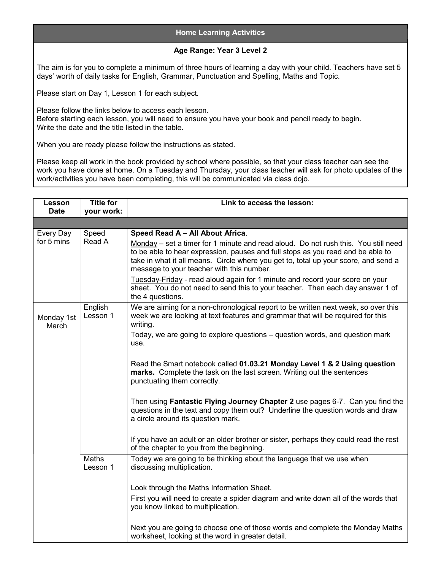## Home Learning Activities

## Age Range: Year 3 Level 2

The aim is for you to complete a minimum of three hours of learning a day with your child. Teachers have set 5 days' worth of daily tasks for English, Grammar, Punctuation and Spelling, Maths and Topic.

Please start on Day 1, Lesson 1 for each subject.

Please follow the links below to access each lesson. Before starting each lesson, you will need to ensure you have your book and pencil ready to begin. Write the date and the title listed in the table.

When you are ready please follow the instructions as stated.

Please keep all work in the book provided by school where possible, so that your class teacher can see the work you have done at home. On a Tuesday and Thursday, your class teacher will ask for photo updates of the work/activities you have been completing, this will be communicated via class dojo.

| Lesson<br><b>Date</b>   | <b>Title for</b><br>your work: | Link to access the lesson:                                                                                                                                                                                                                                                                                                                                                                                                                                                                                                                                                                                                                                                                                                                                                                                    |
|-------------------------|--------------------------------|---------------------------------------------------------------------------------------------------------------------------------------------------------------------------------------------------------------------------------------------------------------------------------------------------------------------------------------------------------------------------------------------------------------------------------------------------------------------------------------------------------------------------------------------------------------------------------------------------------------------------------------------------------------------------------------------------------------------------------------------------------------------------------------------------------------|
|                         |                                |                                                                                                                                                                                                                                                                                                                                                                                                                                                                                                                                                                                                                                                                                                                                                                                                               |
| Every Day<br>for 5 mins | Speed<br>Read A                | Speed Read A - All About Africa.<br>Monday – set a timer for 1 minute and read aloud. Do not rush this. You still need<br>to be able to hear expression, pauses and full stops as you read and be able to<br>take in what it all means. Circle where you get to, total up your score, and send a<br>message to your teacher with this number.<br>Tuesday-Friday - read aloud again for 1 minute and record your score on your<br>sheet. You do not need to send this to your teacher. Then each day answer 1 of<br>the 4 questions.                                                                                                                                                                                                                                                                           |
| Monday 1st<br>March     | English<br>Lesson 1            | We are aiming for a non-chronological report to be written next week, so over this<br>week we are looking at text features and grammar that will be required for this<br>writing.<br>Today, we are going to explore questions - question words, and question mark<br>use.<br>Read the Smart notebook called 01.03.21 Monday Level 1 & 2 Using question<br>marks. Complete the task on the last screen. Writing out the sentences<br>punctuating them correctly.<br>Then using Fantastic Flying Journey Chapter 2 use pages 6-7. Can you find the<br>questions in the text and copy them out? Underline the question words and draw<br>a circle around its question mark.<br>If you have an adult or an older brother or sister, perhaps they could read the rest<br>of the chapter to you from the beginning. |
|                         | Maths<br>Lesson 1              | Today we are going to be thinking about the language that we use when<br>discussing multiplication.<br>Look through the Maths Information Sheet.<br>First you will need to create a spider diagram and write down all of the words that<br>you know linked to multiplication.<br>Next you are going to choose one of those words and complete the Monday Maths<br>worksheet, looking at the word in greater detail.                                                                                                                                                                                                                                                                                                                                                                                           |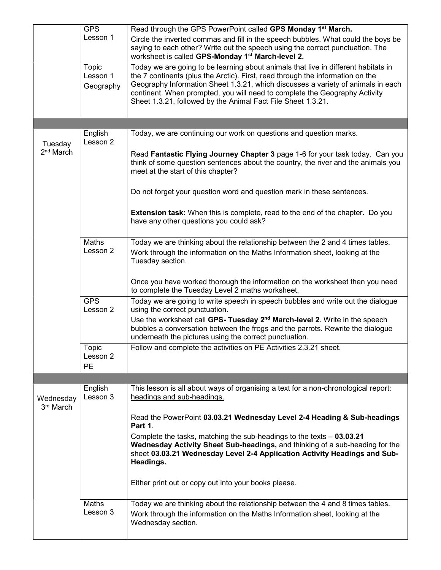|                                  | <b>GPS</b>             | Read through the GPS PowerPoint called GPS Monday 1 <sup>st</sup> March.                                                                                                                                                                                                                                         |
|----------------------------------|------------------------|------------------------------------------------------------------------------------------------------------------------------------------------------------------------------------------------------------------------------------------------------------------------------------------------------------------|
|                                  | Lesson 1               | Circle the inverted commas and fill in the speech bubbles. What could the boys be<br>saying to each other? Write out the speech using the correct punctuation. The<br>worksheet is called GPS-Monday 1 <sup>st</sup> March-level 2.                                                                              |
|                                  | Topic                  | Today we are going to be learning about animals that live in different habitats in                                                                                                                                                                                                                               |
|                                  | Lesson 1<br>Geography  | the 7 continents (plus the Arctic). First, read through the information on the<br>Geography Information Sheet 1.3.21, which discusses a variety of animals in each<br>continent. When prompted, you will need to complete the Geography Activity<br>Sheet 1.3.21, followed by the Animal Fact File Sheet 1.3.21. |
|                                  |                        |                                                                                                                                                                                                                                                                                                                  |
|                                  | English                | Today, we are continuing our work on questions and question marks.                                                                                                                                                                                                                                               |
| Tuesday<br>2 <sup>nd</sup> March | Lesson 2               | Read Fantastic Flying Journey Chapter 3 page 1-6 for your task today. Can you<br>think of some question sentences about the country, the river and the animals you<br>meet at the start of this chapter?                                                                                                         |
|                                  |                        | Do not forget your question word and question mark in these sentences.                                                                                                                                                                                                                                           |
|                                  |                        | <b>Extension task:</b> When this is complete, read to the end of the chapter. Do you<br>have any other questions you could ask?                                                                                                                                                                                  |
|                                  | Maths<br>Lesson 2      | Today we are thinking about the relationship between the 2 and 4 times tables.<br>Work through the information on the Maths Information sheet, looking at the<br>Tuesday section.                                                                                                                                |
|                                  |                        | Once you have worked thorough the information on the worksheet then you need<br>to complete the Tuesday Level 2 maths worksheet.                                                                                                                                                                                 |
|                                  | <b>GPS</b><br>Lesson 2 | Today we are going to write speech in speech bubbles and write out the dialogue<br>using the correct punctuation.                                                                                                                                                                                                |
|                                  |                        | Use the worksheet call GPS- Tuesday 2 <sup>nd</sup> March-level 2. Write in the speech<br>bubbles a conversation between the frogs and the parrots. Rewrite the dialogue<br>underneath the pictures using the correct punctuation.                                                                               |
|                                  | Topic<br>Lesson 2      | Follow and complete the activities on PE Activities 2.3.21 sheet.                                                                                                                                                                                                                                                |
|                                  | <b>PE</b>              |                                                                                                                                                                                                                                                                                                                  |
|                                  | English                | This lesson is all about ways of organising a text for a non-chronological report:                                                                                                                                                                                                                               |
| Wednesday<br>3rd March           | Lesson 3               | headings and sub-headings.                                                                                                                                                                                                                                                                                       |
|                                  |                        | Read the PowerPoint 03.03.21 Wednesday Level 2-4 Heading & Sub-headings<br>Part 1.                                                                                                                                                                                                                               |
|                                  |                        | Complete the tasks, matching the sub-headings to the texts $-$ 03.03.21<br>Wednesday Activity Sheet Sub-headings, and thinking of a sub-heading for the<br>sheet 03.03.21 Wednesday Level 2-4 Application Activity Headings and Sub-<br>Headings.                                                                |
|                                  |                        | Either print out or copy out into your books please.                                                                                                                                                                                                                                                             |
|                                  | Maths<br>Lesson 3      | Today we are thinking about the relationship between the 4 and 8 times tables.<br>Work through the information on the Maths Information sheet, looking at the<br>Wednesday section.                                                                                                                              |
|                                  |                        |                                                                                                                                                                                                                                                                                                                  |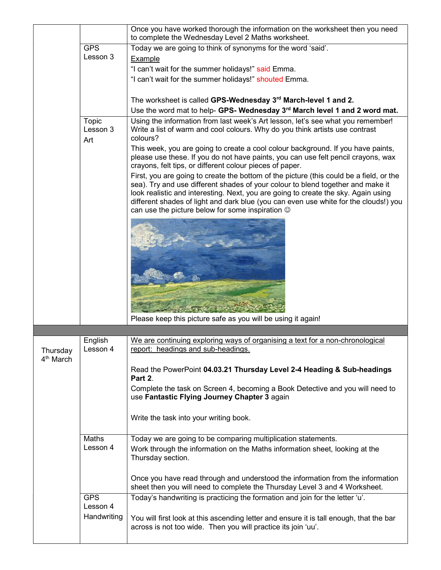|                                   |                          | Once you have worked thorough the information on the worksheet then you need<br>to complete the Wednesday Level 2 Maths worksheet.                                                                                                                                                                                                                                                                                 |
|-----------------------------------|--------------------------|--------------------------------------------------------------------------------------------------------------------------------------------------------------------------------------------------------------------------------------------------------------------------------------------------------------------------------------------------------------------------------------------------------------------|
|                                   | <b>GPS</b>               | Today we are going to think of synonyms for the word 'said'.                                                                                                                                                                                                                                                                                                                                                       |
|                                   | Lesson 3                 | Example                                                                                                                                                                                                                                                                                                                                                                                                            |
|                                   |                          | "I can't wait for the summer holidays!" said Emma.                                                                                                                                                                                                                                                                                                                                                                 |
|                                   |                          | "I can't wait for the summer holidays!" shouted Emma.                                                                                                                                                                                                                                                                                                                                                              |
|                                   |                          |                                                                                                                                                                                                                                                                                                                                                                                                                    |
|                                   |                          | The worksheet is called GPS-Wednesday 3rd March-level 1 and 2.                                                                                                                                                                                                                                                                                                                                                     |
|                                   |                          | Use the word mat to help- GPS- Wednesday 3rd March level 1 and 2 word mat.                                                                                                                                                                                                                                                                                                                                         |
|                                   | Topic<br>Lesson 3<br>Art | Using the information from last week's Art lesson, let's see what you remember!<br>Write a list of warm and cool colours. Why do you think artists use contrast<br>colours?                                                                                                                                                                                                                                        |
|                                   |                          | This week, you are going to create a cool colour background. If you have paints,<br>please use these. If you do not have paints, you can use felt pencil crayons, wax<br>crayons, felt tips, or different colour pieces of paper.                                                                                                                                                                                  |
|                                   |                          | First, you are going to create the bottom of the picture (this could be a field, or the<br>sea). Try and use different shades of your colour to blend together and make it<br>look realistic and interesting. Next, you are going to create the sky. Again using<br>different shades of light and dark blue (you can even use white for the clouds!) you<br>can use the picture below for some inspiration $\odot$ |
|                                   |                          |                                                                                                                                                                                                                                                                                                                                                                                                                    |
|                                   |                          | Please keep this picture safe as you will be using it again!                                                                                                                                                                                                                                                                                                                                                       |
|                                   |                          |                                                                                                                                                                                                                                                                                                                                                                                                                    |
|                                   | English                  | We are continuing exploring ways of organising a text for a non-chronological                                                                                                                                                                                                                                                                                                                                      |
| Thursday<br>4 <sup>th</sup> March | Lesson 4                 | report: headings and sub-headings.                                                                                                                                                                                                                                                                                                                                                                                 |
|                                   |                          | Read the PowerPoint 04.03.21 Thursday Level 2-4 Heading & Sub-headings<br>Part 2.                                                                                                                                                                                                                                                                                                                                  |
|                                   |                          | Complete the task on Screen 4, becoming a Book Detective and you will need to<br>use Fantastic Flying Journey Chapter 3 again                                                                                                                                                                                                                                                                                      |
|                                   |                          | Write the task into your writing book.                                                                                                                                                                                                                                                                                                                                                                             |
|                                   | Maths                    | Today we are going to be comparing multiplication statements.                                                                                                                                                                                                                                                                                                                                                      |
|                                   | Lesson 4                 | Work through the information on the Maths information sheet, looking at the<br>Thursday section.                                                                                                                                                                                                                                                                                                                   |
|                                   |                          | Once you have read through and understood the information from the information<br>sheet then you will need to complete the Thursday Level 3 and 4 Worksheet.                                                                                                                                                                                                                                                       |
|                                   | <b>GPS</b><br>Lesson 4   | Today's handwriting is practicing the formation and join for the letter 'u'.                                                                                                                                                                                                                                                                                                                                       |
|                                   | Handwriting              | You will first look at this ascending letter and ensure it is tall enough, that the bar<br>across is not too wide. Then you will practice its join 'uu'.                                                                                                                                                                                                                                                           |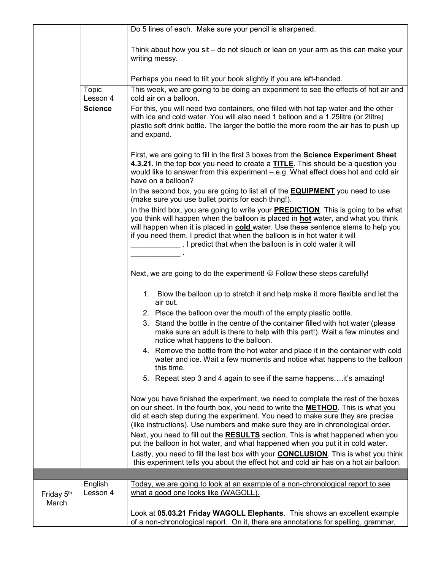|                     |                     | Do 5 lines of each. Make sure your pencil is sharpened.                                                                                                                                                                                                                                                                                                                                                                |
|---------------------|---------------------|------------------------------------------------------------------------------------------------------------------------------------------------------------------------------------------------------------------------------------------------------------------------------------------------------------------------------------------------------------------------------------------------------------------------|
|                     |                     | Think about how you sit – do not slouch or lean on your arm as this can make your<br>writing messy.                                                                                                                                                                                                                                                                                                                    |
|                     |                     | Perhaps you need to tilt your book slightly if you are left-handed.                                                                                                                                                                                                                                                                                                                                                    |
|                     | Topic<br>Lesson 4   | This week, we are going to be doing an experiment to see the effects of hot air and<br>cold air on a balloon.                                                                                                                                                                                                                                                                                                          |
|                     | <b>Science</b>      | For this, you will need two containers, one filled with hot tap water and the other<br>with ice and cold water. You will also need 1 balloon and a 1.25litre (or 2litre)<br>plastic soft drink bottle. The larger the bottle the more room the air has to push up<br>and expand.                                                                                                                                       |
|                     |                     | First, we are going to fill in the first 3 boxes from the Science Experiment Sheet<br>4.3.21. In the top box you need to create a <b>TITLE</b> . This should be a question you<br>would like to answer from this experiment - e.g. What effect does hot and cold air<br>have on a balloon?                                                                                                                             |
|                     |                     | In the second box, you are going to list all of the <b>EQUIPMENT</b> you need to use<br>(make sure you use bullet points for each thing!).                                                                                                                                                                                                                                                                             |
|                     |                     | In the third box, you are going to write your <b>PREDICTION</b> . This is going to be what<br>you think will happen when the balloon is placed in <b>hot</b> water, and what you think<br>will happen when it is placed in cold water. Use these sentence stems to help you<br>if you need them. I predict that when the balloon is in hot water it will<br>. I predict that when the balloon is in cold water it will |
|                     |                     |                                                                                                                                                                                                                                                                                                                                                                                                                        |
|                     |                     | Next, we are going to do the experiment! © Follow these steps carefully!                                                                                                                                                                                                                                                                                                                                               |
|                     |                     | 1. Blow the balloon up to stretch it and help make it more flexible and let the<br>air out.                                                                                                                                                                                                                                                                                                                            |
|                     |                     | 2. Place the balloon over the mouth of the empty plastic bottle.                                                                                                                                                                                                                                                                                                                                                       |
|                     |                     | 3. Stand the bottle in the centre of the container filled with hot water (please<br>make sure an adult is there to help with this part!). Wait a few minutes and<br>notice what happens to the balloon.                                                                                                                                                                                                                |
|                     |                     | 4. Remove the bottle from the hot water and place it in the container with cold<br>water and ice. Wait a few moments and notice what happens to the balloon<br>this time.                                                                                                                                                                                                                                              |
|                     |                     | 5. Repeat step 3 and 4 again to see if the same happensit's amazing!                                                                                                                                                                                                                                                                                                                                                   |
|                     |                     | Now you have finished the experiment, we need to complete the rest of the boxes<br>on our sheet. In the fourth box, you need to write the <b>METHOD</b> . This is what you<br>did at each step during the experiment. You need to make sure they are precise<br>(like instructions). Use numbers and make sure they are in chronological order.                                                                        |
|                     |                     | Next, you need to fill out the RESULTS section. This is what happened when you<br>put the balloon in hot water, and what happened when you put it in cold water.                                                                                                                                                                                                                                                       |
|                     |                     | Lastly, you need to fill the last box with your <b>CONCLUSION</b> . This is what you think<br>this experiment tells you about the effect hot and cold air has on a hot air balloon.                                                                                                                                                                                                                                    |
|                     |                     |                                                                                                                                                                                                                                                                                                                                                                                                                        |
| Friday 5th<br>March | English<br>Lesson 4 | Today, we are going to look at an example of a non-chronological report to see<br>what a good one looks like (WAGOLL).                                                                                                                                                                                                                                                                                                 |
|                     |                     | Look at 05.03.21 Friday WAGOLL Elephants. This shows an excellent example<br>of a non-chronological report. On it, there are annotations for spelling, grammar,                                                                                                                                                                                                                                                        |